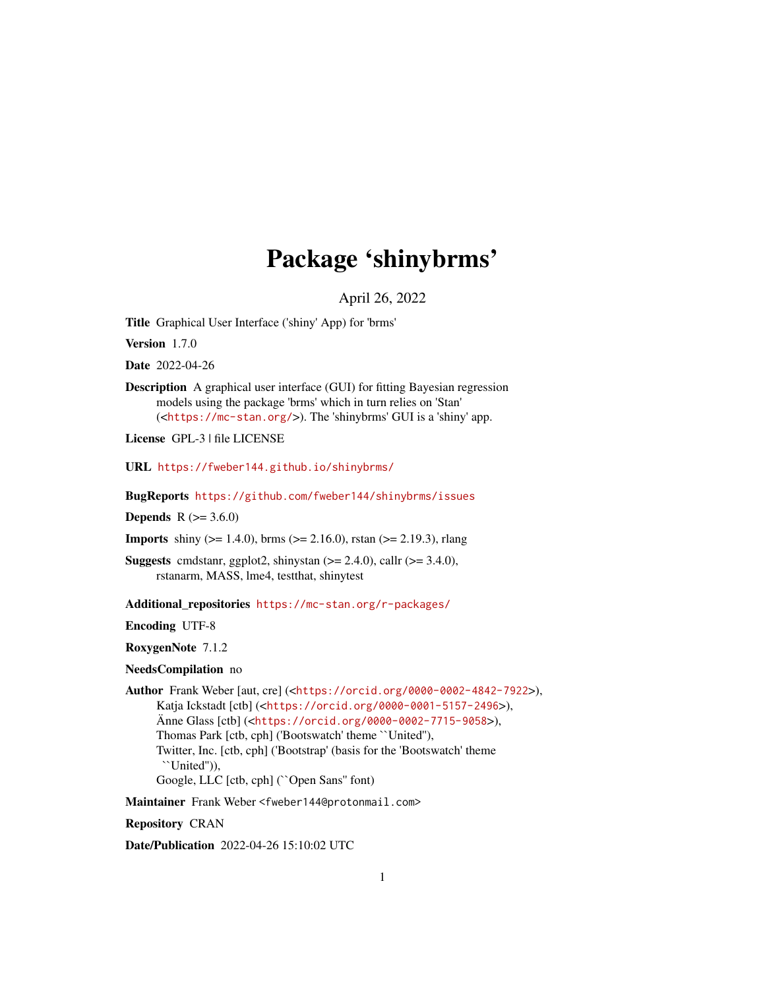## Package 'shinybrms'

April 26, 2022

<span id="page-0-0"></span>Title Graphical User Interface ('shiny' App) for 'brms'

Version 1.7.0

Date 2022-04-26

Description A graphical user interface (GUI) for fitting Bayesian regression models using the package 'brms' which in turn relies on 'Stan' (<<https://mc-stan.org/>>). The 'shinybrms' GUI is a 'shiny' app.

License GPL-3 | file LICENSE

URL <https://fweber144.github.io/shinybrms/>

BugReports <https://github.com/fweber144/shinybrms/issues>

**Depends** R  $(>= 3.6.0)$ 

**Imports** shiny ( $>= 1.4.0$ ), brms ( $>= 2.16.0$ ), rstan ( $>= 2.19.3$ ), rlang

**Suggests** cmdstanr, ggplot2, shinystan  $(>= 2.4.0)$ , callr  $(>= 3.4.0)$ , rstanarm, MASS, lme4, testthat, shinytest

Additional\_repositories <https://mc-stan.org/r-packages/>

Encoding UTF-8

RoxygenNote 7.1.2

NeedsCompilation no

Author Frank Weber [aut, cre] (<<https://orcid.org/0000-0002-4842-7922>>), Katja Ickstadt [ctb] (<<https://orcid.org/0000-0001-5157-2496>>), Änne Glass [ctb] (<<https://orcid.org/0000-0002-7715-9058>>), Thomas Park [ctb, cph] ('Bootswatch' theme ``United''), Twitter, Inc. [ctb, cph] ('Bootstrap' (basis for the 'Bootswatch' theme ``United'')), Google, LLC [ctb, cph] (``Open Sans'' font)

Maintainer Frank Weber <fweber144@protonmail.com>

Repository CRAN

Date/Publication 2022-04-26 15:10:02 UTC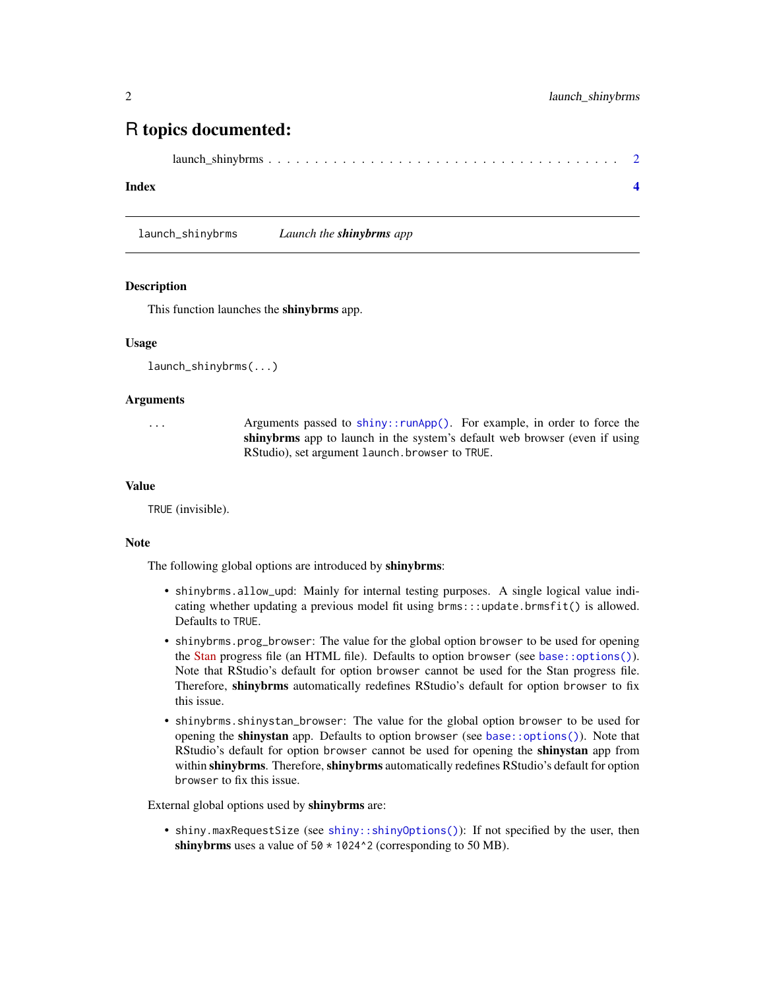### <span id="page-1-0"></span>R topics documented:

```
launch_shinybrms . . . . . . . . . . . . . . . . . . . . . . . . . . . . . . . . . . . . . . 2
```
#### **Index** [4](#page-3-0)

launch\_shinybrms *Launch the shinybrms app*

#### **Description**

This function launches the shinybrms app.

#### Usage

```
launch_shinybrms(...)
```
#### Arguments

... Arguments passed to [shiny::runApp\(\)](#page-0-0). For example, in order to force the shinybrms app to launch in the system's default web browser (even if using RStudio), set argument launch.browser to TRUE.

#### Value

TRUE (invisible).

#### Note

The following global options are introduced by shinybrms:

- shinybrms.allow\_upd: Mainly for internal testing purposes. A single logical value indicating whether updating a previous model fit using brms:::update.brmsfit() is allowed. Defaults to TRUE.
- shinybrms.prog\_browser: The value for the global option browser to be used for opening the [Stan](https://mc-stan.org/) progress file (an HTML file). Defaults to option browser (see [base::options\(\)](#page-0-0)). Note that RStudio's default for option browser cannot be used for the Stan progress file. Therefore, shinybrms automatically redefines RStudio's default for option browser to fix this issue.
- shinybrms.shinystan\_browser: The value for the global option browser to be used for opening the shinystan app. Defaults to option browser (see [base::options\(\)](#page-0-0)). Note that RStudio's default for option browser cannot be used for opening the **shinystan** app from within shinybrms. Therefore, shinybrms automatically redefines RStudio's default for option browser to fix this issue.

External global options used by shinybrms are:

• shiny.maxRequestSize (see [shiny::shinyOptions\(\)](#page-0-0)): If not specified by the user, then shinybrms uses a value of  $50 \times 1024$ <sup>2</sup> (corresponding to 50 MB).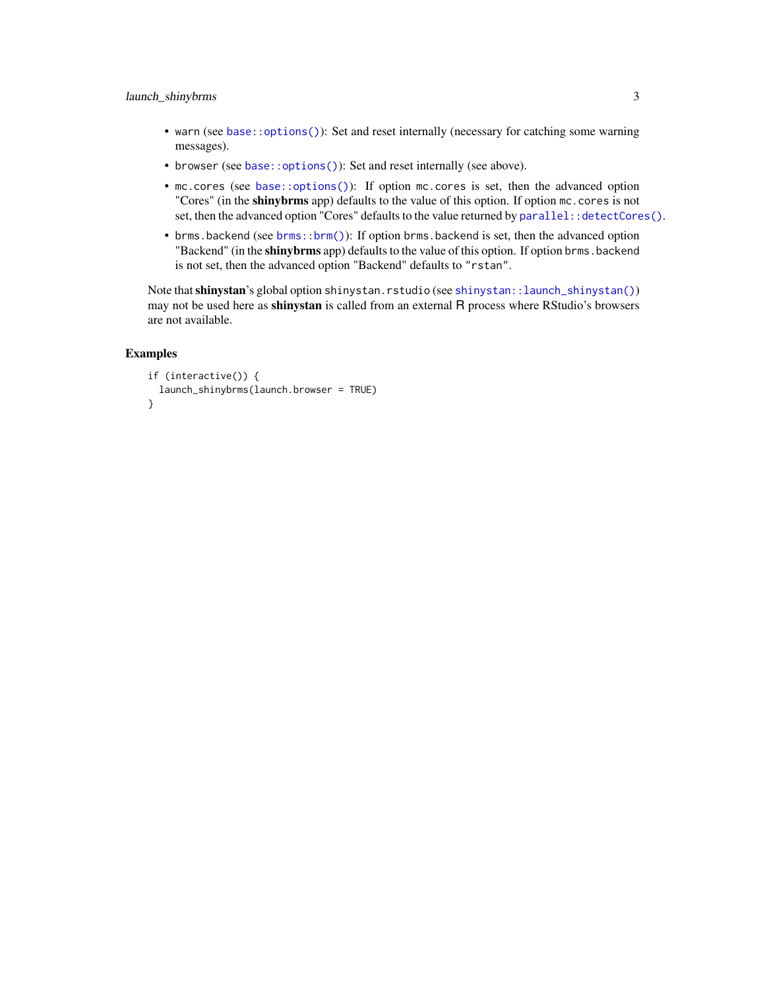#### <span id="page-2-0"></span>launch\_shinybrms 3

- warn (see [base::options\(\)](#page-0-0)): Set and reset internally (necessary for catching some warning messages).
- browser (see [base::options\(\)](#page-0-0)): Set and reset internally (see above).
- mc.cores (see [base::options\(\)](#page-0-0)): If option mc.cores is set, then the advanced option "Cores" (in the **shinybrms** app) defaults to the value of this option. If option mc. cores is not set, then the advanced option "Cores" defaults to the value returned by parallel: : detectCores().
- brms.backend (see [brms::brm\(\)](#page-0-0)): If option brms.backend is set, then the advanced option "Backend" (in the **shinybrms** app) defaults to the value of this option. If option brms. backend is not set, then the advanced option "Backend" defaults to "rstan".

Note that shinystan's global option shinystan.rstudio (see [shinystan::launch\\_shinystan\(\)](#page-0-0)) may not be used here as **shinystan** is called from an external R process where RStudio's browsers are not available.

#### Examples

```
if (interactive()) {
 launch_shinybrms(launch.browser = TRUE)
}
```